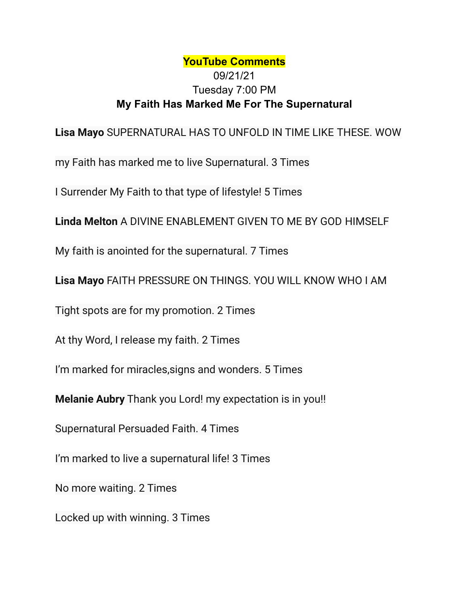## **YouTube Comments** 09/21/21 Tuesday 7:00 PM **My Faith Has Marked Me For The Supernatural**

**Lisa Mayo** SUPERNATURAL HAS TO UNFOLD IN TIME LIKE THESE. WOW

my Faith has marked me to live Supernatural. 3 Times

I Surrender My Faith to that type of lifestyle! 5 Times

**Linda Melton** A DIVINE ENABLEMENT GIVEN TO ME BY GOD HIMSELF

My faith is anointed for the supernatural. 7 Times

**Lisa Mayo** FAITH PRESSURE ON THINGS. YOU WILL KNOW WHO I AM

Tight spots are for my promotion. 2 Times

At thy Word, I release my faith. 2 Times

I'm marked for miracles,signs and wonders. 5 Times

**Melanie Aubry** Thank you Lord! my expectation is in you!!

Supernatural Persuaded Faith. 4 Times

I'm marked to live a supernatural life! 3 Times

No more waiting. 2 Times

Locked up with winning. 3 Times